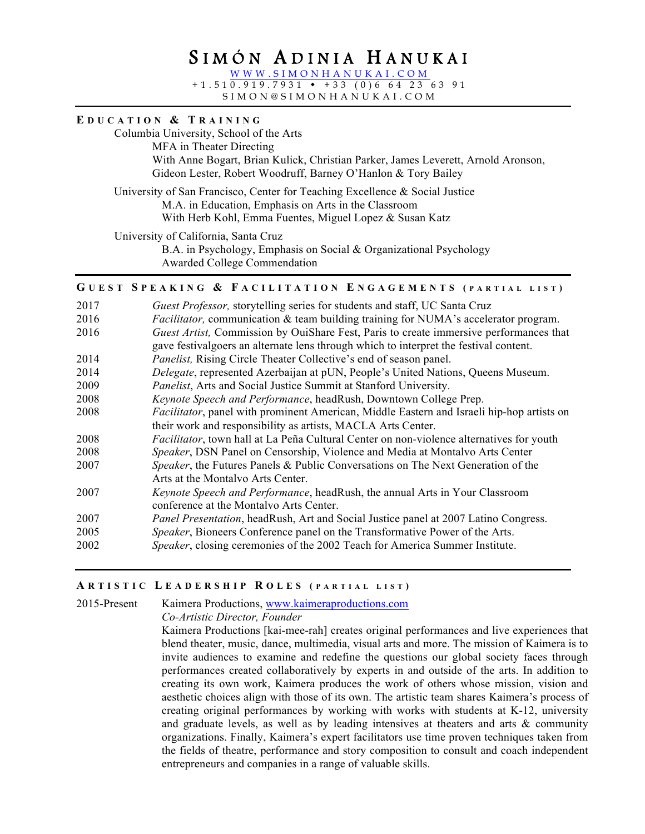# S IMÓN A DINIA H ANUKAI

WWW.SIMONHANUKAI.COM  $+1.510.919.7931 + +33 (0)664236391$ 

SIMON@SIMONHANUKAI .COM

**E DUCATION & T RAINING**

Columbia University, School of the Arts MFA in Theater Directing With Anne Bogart, Brian Kulick, Christian Parker, James Leverett, Arnold Aronson, Gideon Lester, Robert Woodruff, Barney O'Hanlon & Tory Bailey University of San Francisco, Center for Teaching Excellence & Social Justice M.A. in Education, Emphasis on Arts in the Classroom With Herb Kohl, Emma Fuentes, Miguel Lopez & Susan Katz University of California, Santa Cruz B.A. in Psychology, Emphasis on Social & Organizational Psychology Awarded College Commendation **G UEST S PEAKING & F ACILITATION E NGAGEMENTS ( PARTIAL LIST )** 2017 *Guest Professor,* storytelling series for students and staff, UC Santa Cruz 2016 *Facilitator,* communication & team building training for NUMA's accelerator program. 2016 *Guest Artist,* Commission by OuiShare Fest, Paris to create immersive performances that gave festivalgoers an alternate lens through which to interpret the festival content. 2014 *Panelist,* Rising Circle Theater Collective's end of season panel. 2014 *Delegate*, represented Azerbaijan at pUN, People's United Nations, Queens Museum. 2009 *Panelist*, Arts and Social Justice Summit at Stanford University. 2008 *Keynote Speech and Performance*, headRush, Downtown College Prep. 2008 *Facilitator*, panel with prominent American, Middle Eastern and Israeli hip-hop artists on their work and responsibility as artists, MACLA Arts Center. 2008 *Facilitator*, town hall at La Peña Cultural Center on non-violence alternatives for youth 2008 *Speaker*, DSN Panel on Censorship, Violence and Media at Montalvo Arts Center 2007 *Speaker*, the Futures Panels & Public Conversations on The Next Generation of the Arts at the Montalvo Arts Center. 2007 *Keynote Speech and Performance*, headRush, the annual Arts in Your Classroom conference at the Montalvo Arts Center. 2007 *Panel Presentation*, headRush, Art and Social Justice panel at 2007 Latino Congress. 2005 *Speaker*, Bioneers Conference panel on the Transformative Power of the Arts. 2002 *Speaker*, closing ceremonies of the 2002 Teach for America Summer Institute.

### **A RTISTIC L EADERSHIP R OLES ( PARTIAL LIST )**

2015-Present Kaimera Productions, www.kaimeraproductions.com

*Co-Artistic Director, Founder*

Kaimera Productions [kai-mee-rah] creates original performances and live experiences that blend theater, music, dance, multimedia, visual arts and more. The mission of Kaimera is to invite audiences to examine and redefine the questions our global society faces through performances created collaboratively by experts in and outside of the arts. In addition to creating its own work, Kaimera produces the work of others whose mission, vision and aesthetic choices align with those of its own. The artistic team shares Kaimera's process of creating original performances by working with works with students at K-12, university and graduate levels, as well as by leading intensives at theaters and arts  $\&$  community organizations. Finally, Kaimera's expert facilitators use time proven techniques taken from the fields of theatre, performance and story composition to consult and coach independent entrepreneurs and companies in a range of valuable skills.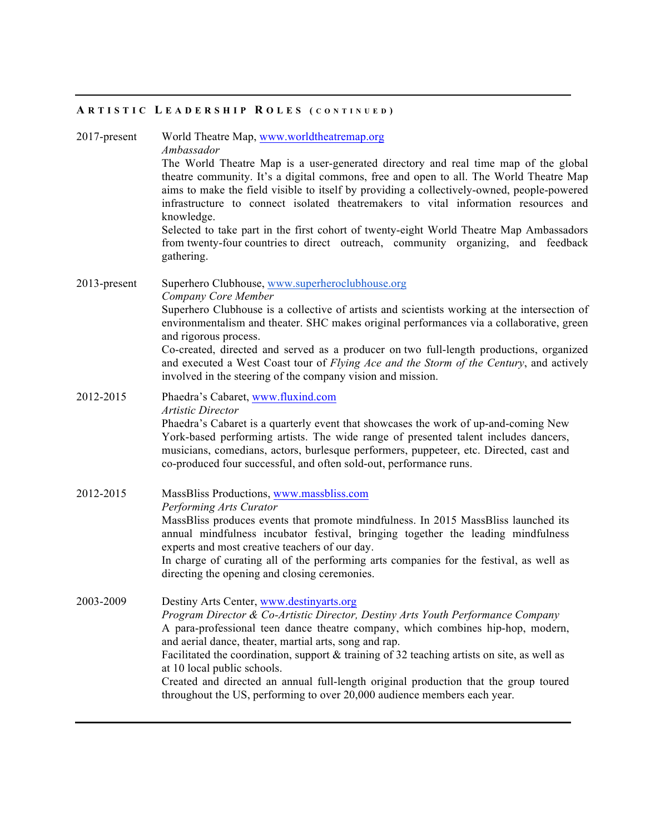#### **A RTISTIC L EADERSHIP R OLES ( CONTINUED )**

2017-present World Theatre Map, www.worldtheatremap.org

*Ambassador*

The World Theatre Map is a user-generated directory and real time map of the global theatre community. It's a digital commons, free and open to all. The World Theatre Map aims to make the field visible to itself by providing a collectively-owned, people-powered infrastructure to connect isolated theatremakers to vital information resources and knowledge.

Selected to take part in the first cohort of twenty-eight World Theatre Map Ambassadors from twenty-four countries to direct outreach, community organizing, and feedback gathering.

# 2013-present Superhero Clubhouse, www.superheroclubhouse.org *Company Core Member*

Superhero Clubhouse is a collective of artists and scientists working at the intersection of environmentalism and theater. SHC makes original performances via a collaborative, green and rigorous process.

Co-created, directed and served as a producer on two full-length productions, organized and executed a West Coast tour of *Flying Ace and the Storm of the Century*, and actively involved in the steering of the company vision and mission.

# 2012-2015 Phaedra's Cabaret, www.fluxind.com *Artistic Director* Phaedra's Cabaret is a quarterly event that showcases the work of up-and-coming New

York-based performing artists. The wide range of presented talent includes dancers, musicians, comedians, actors, burlesque performers, puppeteer, etc. Directed, cast and co-produced four successful, and often sold-out, performance runs.

## 2012-2015 MassBliss Productions, www.massbliss.com *Performing Arts Curator*  MassBliss produces events that promote mindfulness. In 2015 MassBliss launched its

annual mindfulness incubator festival, bringing together the leading mindfulness experts and most creative teachers of our day.

In charge of curating all of the performing arts companies for the festival, as well as directing the opening and closing ceremonies.

2003-2009 Destiny Arts Center, www.destinyarts.org *Program Director & Co-Artistic Director, Destiny Arts Youth Performance Company* A para-professional teen dance theatre company, which combines hip-hop, modern, and aerial dance, theater, martial arts, song and rap. Facilitated the coordination, support & training of 32 teaching artists on site, as well as at 10 local public schools. Created and directed an annual full-length original production that the group toured throughout the US, performing to over 20,000 audience members each year.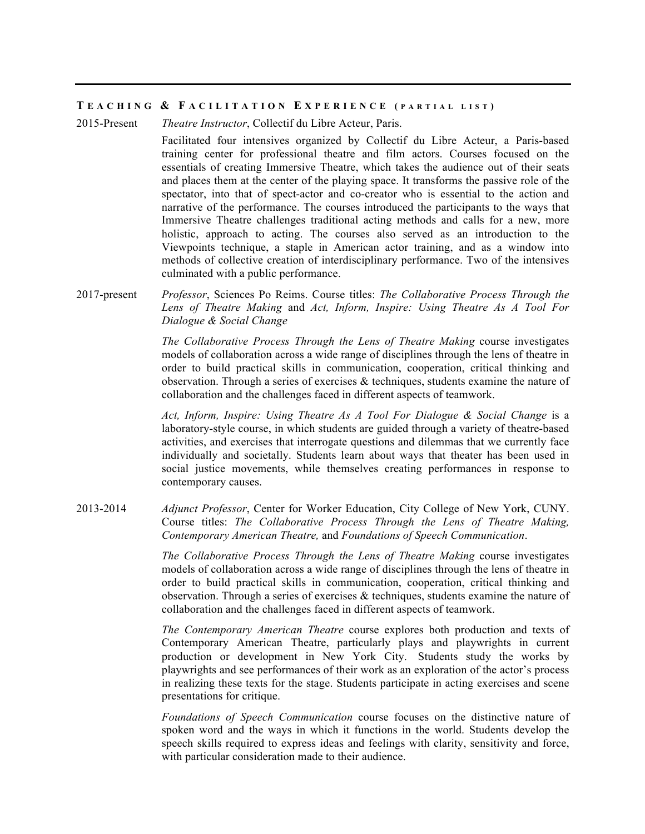#### **T EACHING & F ACILITATION E XPERIENCE ( <sup>P</sup> ARTIAL LIST )**

2015-Present *Theatre Instructor*, Collectif du Libre Acteur, Paris.

Facilitated four intensives organized by Collectif du Libre Acteur, a Paris-based training center for professional theatre and film actors. Courses focused on the essentials of creating Immersive Theatre, which takes the audience out of their seats and places them at the center of the playing space. It transforms the passive role of the spectator, into that of spect-actor and co-creator who is essential to the action and narrative of the performance. The courses introduced the participants to the ways that Immersive Theatre challenges traditional acting methods and calls for a new, more holistic, approach to acting. The courses also served as an introduction to the Viewpoints technique, a staple in American actor training, and as a window into methods of collective creation of interdisciplinary performance. Two of the intensives culminated with a public performance.

2017-present *Professor*, Sciences Po Reims. Course titles: *The Collaborative Process Through the Lens of Theatre Making* and *Act, Inform, Inspire: Using Theatre As A Tool For Dialogue & Social Change*

> *The Collaborative Process Through the Lens of Theatre Making* course investigates models of collaboration across a wide range of disciplines through the lens of theatre in order to build practical skills in communication, cooperation, critical thinking and observation. Through a series of exercises & techniques, students examine the nature of collaboration and the challenges faced in different aspects of teamwork.

> *Act, Inform, Inspire: Using Theatre As A Tool For Dialogue & Social Change* is a laboratory-style course, in which students are guided through a variety of theatre-based activities, and exercises that interrogate questions and dilemmas that we currently face individually and societally. Students learn about ways that theater has been used in social justice movements, while themselves creating performances in response to contemporary causes.

2013-2014 *Adjunct Professor*, Center for Worker Education, City College of New York, CUNY. Course titles: *The Collaborative Process Through the Lens of Theatre Making, Contemporary American Theatre,* and *Foundations of Speech Communication*.

> *The Collaborative Process Through the Lens of Theatre Making* course investigates models of collaboration across a wide range of disciplines through the lens of theatre in order to build practical skills in communication, cooperation, critical thinking and observation. Through a series of exercises  $\&$  techniques, students examine the nature of collaboration and the challenges faced in different aspects of teamwork.

> *The Contemporary American Theatre* course explores both production and texts of Contemporary American Theatre, particularly plays and playwrights in current production or development in New York City. Students study the works by playwrights and see performances of their work as an exploration of the actor's process in realizing these texts for the stage. Students participate in acting exercises and scene presentations for critique.

> *Foundations of Speech Communication* course focuses on the distinctive nature of spoken word and the ways in which it functions in the world. Students develop the speech skills required to express ideas and feelings with clarity, sensitivity and force, with particular consideration made to their audience.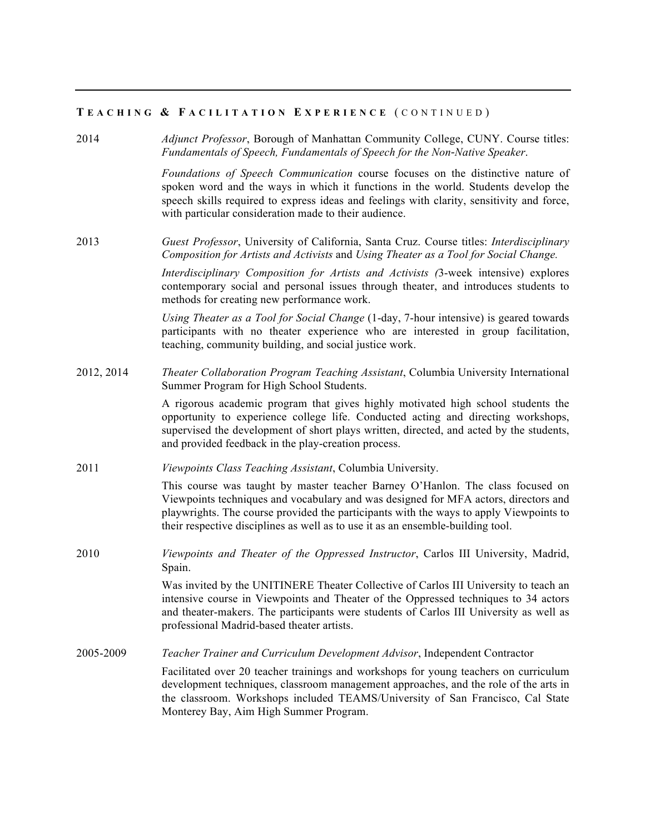## **T EACHING & F ACILITATION E XPERIENCE** ( CONTINUED )

2014 *Adjunct Professor*, Borough of Manhattan Community College, CUNY. Course titles: *Fundamentals of Speech, Fundamentals of Speech for the Non‑Native Speaker*.

> *Foundations of Speech Communication* course focuses on the distinctive nature of spoken word and the ways in which it functions in the world. Students develop the speech skills required to express ideas and feelings with clarity, sensitivity and force, with particular consideration made to their audience.

2013 *Guest Professor*, University of California, Santa Cruz. Course titles: *Interdisciplinary Composition for Artists and Activists* and *Using Theater as a Tool for Social Change.*

> *Interdisciplinary Composition for Artists and Activists (*3-week intensive) explores contemporary social and personal issues through theater, and introduces students to methods for creating new performance work.

> *Using Theater as a Tool for Social Change* (1-day, 7-hour intensive) is geared towards participants with no theater experience who are interested in group facilitation, teaching, community building, and social justice work.

2012, 2014 *Theater Collaboration Program Teaching Assistant*, Columbia University International Summer Program for High School Students.

> A rigorous academic program that gives highly motivated high school students the opportunity to experience college life. Conducted acting and directing workshops, supervised the development of short plays written, directed, and acted by the students, and provided feedback in the play-creation process.

2011 *Viewpoints Class Teaching Assistant*, Columbia University.

This course was taught by master teacher Barney O'Hanlon. The class focused on Viewpoints techniques and vocabulary and was designed for MFA actors, directors and playwrights. The course provided the participants with the ways to apply Viewpoints to their respective disciplines as well as to use it as an ensemble-building tool.

2010 *Viewpoints and Theater of the Oppressed Instructor*, Carlos III University, Madrid, Spain.

> Was invited by the UNITINERE Theater Collective of Carlos III University to teach an intensive course in Viewpoints and Theater of the Oppressed techniques to 34 actors and theater-makers. The participants were students of Carlos III University as well as professional Madrid-based theater artists.

2005-2009 *Teacher Trainer and Curriculum Development Advisor*, Independent Contractor

Facilitated over 20 teacher trainings and workshops for young teachers on curriculum development techniques, classroom management approaches, and the role of the arts in the classroom. Workshops included TEAMS/University of San Francisco, Cal State Monterey Bay, Aim High Summer Program.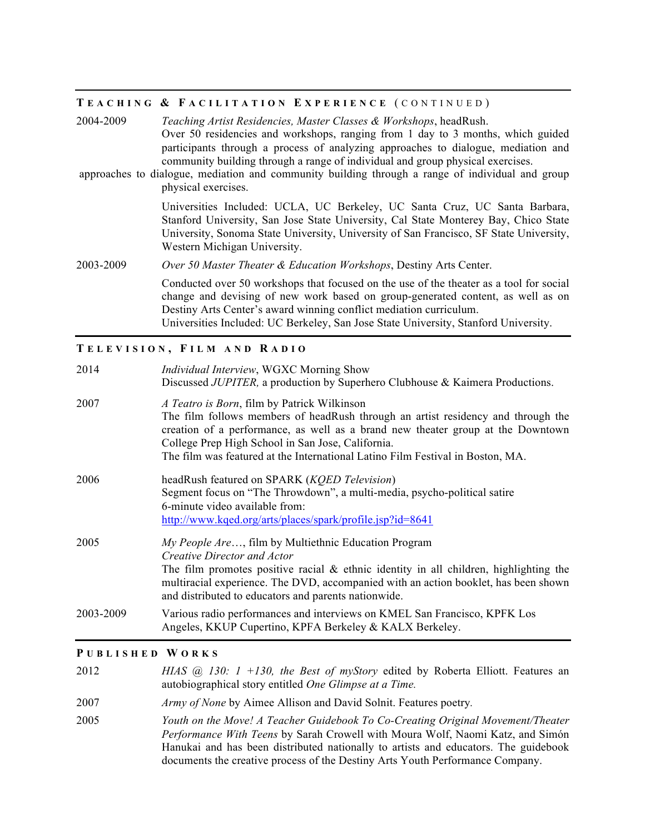# **T EACHING & F ACILITATION E XPERIENCE** ( CONTINUED )

| 2004-2009 | Teaching Artist Residencies, Master Classes & Workshops, headRush.                                                                                                                                                                                                                                                                                                                |
|-----------|-----------------------------------------------------------------------------------------------------------------------------------------------------------------------------------------------------------------------------------------------------------------------------------------------------------------------------------------------------------------------------------|
|           | Over 50 residencies and workshops, ranging from 1 day to 3 months, which guided<br>participants through a process of analyzing approaches to dialogue, mediation and<br>community building through a range of individual and group physical exercises.<br>approaches to dialogue, mediation and community building through a range of individual and group<br>physical exercises. |
|           | Universities Included: UCLA, UC Berkeley, UC Santa Cruz, UC Santa Barbara,<br>Stanford University, San Jose State University, Cal State Monterey Bay, Chico State<br>University, Sonoma State University, University of San Francisco, SF State University,<br>Western Michigan University.                                                                                       |
| 2003-2009 | Over 50 Master Theater & Education Workshops, Destiny Arts Center.                                                                                                                                                                                                                                                                                                                |
|           | Conducted over 50 workshops that focused on the use of the theater as a tool for social<br>change and devising of new work based on group-generated content, as well as on<br>Destiny Arts Center's award winning conflict mediation curriculum.<br>Universities Included: UC Berkeley, San Jose State University, Stanford University.                                           |

## **T ELEVISION , F ILM AND R ADIO**

| 2014      | <i>Individual Interview, WGXC Morning Show</i><br>Discussed JUPITER, a production by Superhero Clubhouse & Kaimera Productions.                                                                                                                                                                                                                           |
|-----------|-----------------------------------------------------------------------------------------------------------------------------------------------------------------------------------------------------------------------------------------------------------------------------------------------------------------------------------------------------------|
| 2007      | A Teatro is Born, film by Patrick Wilkinson<br>The film follows members of headRush through an artist residency and through the<br>creation of a performance, as well as a brand new theater group at the Downtown<br>College Prep High School in San Jose, California.<br>The film was featured at the International Latino Film Festival in Boston, MA. |
| 2006      | headRush featured on SPARK (KQED Television)<br>Segment focus on "The Throwdown", a multi-media, psycho-political satire<br>6-minute video available from:<br>http://www.kqed.org/arts/places/spark/profile.jsp?id=8641                                                                                                                                   |
| 2005      | <i>My People Are,</i> film by Multiethnic Education Program<br>Creative Director and Actor<br>The film promotes positive racial $\&$ ethnic identity in all children, highlighting the<br>multiracial experience. The DVD, accompanied with an action booklet, has been shown<br>and distributed to educators and parents nationwide.                     |
| 2003-2009 | Various radio performances and interviews on KMEL San Francisco, KPFK Los<br>Angeles, KKUP Cupertino, KPFA Berkeley & KALX Berkeley.                                                                                                                                                                                                                      |

## **P UBLISHED W ORKS**

| 2012 | HIAS (a) 130: 1 +130, the Best of myStory edited by Roberta Elliott. Features an<br>autobiographical story entitled <i>One Glimpse at a Time</i> .                                                                                                                                                                                               |
|------|--------------------------------------------------------------------------------------------------------------------------------------------------------------------------------------------------------------------------------------------------------------------------------------------------------------------------------------------------|
| 2007 | Army of None by Aimee Allison and David Solnit. Features poetry.                                                                                                                                                                                                                                                                                 |
| 2005 | Youth on the Move! A Teacher Guidebook To Co-Creating Original Movement/Theater<br><i>Performance With Teens</i> by Sarah Crowell with Moura Wolf, Naomi Katz, and Simón<br>Hanukai and has been distributed nationally to artists and educators. The guidebook<br>documents the creative process of the Destiny Arts Youth Performance Company. |